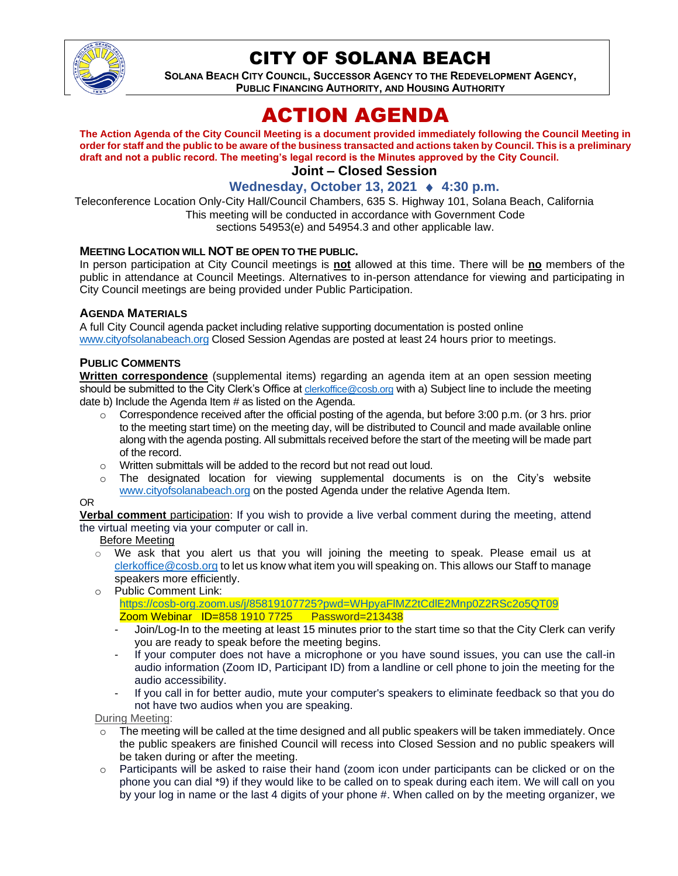

## CITY OF SOLANA BEACH

**SOLANA BEACH CITY COUNCIL, SUCCESSOR AGENCY TO THE REDEVELOPMENT AGENCY, PUBLIC FINANCING AUTHORITY, AND HOUSING AUTHORITY** 

# ACTION AGENDA

**The Action Agenda of the City Council Meeting is a document provided immediately following the Council Meeting in order for staff and the public to be aware of the business transacted and actions taken by Council. This is a preliminary draft and not a public record. The meeting's legal record is the Minutes approved by the City Council.**

## **Joint – Closed Session**

## **Wednesday, October 13, 2021 ♦ 4:30 p.m.**

Teleconference Location Only-City Hall/Council Chambers, 635 S. Highway 101, Solana Beach, California This meeting will be conducted in accordance with Government Code sections 54953(e) and 54954.3 and other applicable law.

#### **MEETING LOCATION WILL NOT BE OPEN TO THE PUBLIC.**

In person participation at City Council meetings is **not** allowed at this time. There will be **no** members of the public in attendance at Council Meetings. Alternatives to in-person attendance for viewing and participating in City Council meetings are being provided under Public Participation.

#### **AGENDA MATERIALS**

A full City Council agenda packet including relative supporting documentation is posted online [www.cityofsolanabeach.org](https://urldefense.proofpoint.com/v2/url?u=http-3A__www.cityofsolanabeach.org&d=DwQFAg&c=euGZstcaTDllvimEN8b7jXrwqOf-v5A_CdpgnVfiiMM&r=1XAsCUuqwK_tji2t0s1uIQ&m=wny2RVfZJ2tN24LkqZmkUWNpwL_peNtTZUBlTBZiMM4&s=6ATguqxJUOD7VVtloplAbyuyNaVcEh6Fl4q1iw55lCY&e=) Closed Session Agendas are posted at least 24 hours prior to meetings.

#### **PUBLIC COMMENTS**

**Written correspondence** (supplemental items) regarding an agenda item at an open session meeting should be submitted to the City Clerk's Office at [clerkoffice@cosb.org](mailto:clerkoffice@cosb.org) with a) Subject line to include the meeting date b) Include the Agenda Item # as listed on the Agenda.

- $\circ$  Correspondence received after the official posting of the agenda, but before 3:00 p.m. (or 3 hrs. prior to the meeting start time) on the meeting day, will be distributed to Council and made available online along with the agenda posting. All submittals received before the start of the meeting will be made part of the record.
- o Written submittals will be added to the record but not read out loud.
- The designated location for viewing supplemental documents is on the City's website [www.cityofsolanabeach.org](http://www.cityofsolanabeach.org/) on the posted Agenda under the relative Agenda Item.

#### OR

**Verbal comment** participation: If you wish to provide a live verbal comment during the meeting, attend the virtual meeting via your computer or call in.

Before Meeting

- $\circ$  We ask that you alert us that you will joining the meeting to speak. Please email us at [clerkoffice@cosb.org](mailto:clerkoffice@cosb.org) to let us know what item you will speaking on. This allows our Staff to manage speakers more efficiently.
- o Public Comment Link: <https://cosb-org.zoom.us/j/85819107725?pwd=WHpyaFlMZ2tCdlE2Mnp0Z2RSc2o5QT09>

Zoom Webinar ID=858 1910 7725 Password=213438

- Join/Log-In to the meeting at least 15 minutes prior to the start time so that the City Clerk can verify you are ready to speak before the meeting begins.
- If your computer does not have a microphone or you have sound issues, you can use the call-in audio information (Zoom ID, Participant ID) from a landline or cell phone to join the meeting for the audio accessibility.
- If you call in for better audio, mute your computer's speakers to eliminate feedback so that you do not have two audios when you are speaking.

During Meeting:

- $\circ$  The meeting will be called at the time designed and all public speakers will be taken immediately. Once the public speakers are finished Council will recess into Closed Session and no public speakers will be taken during or after the meeting.
- $\circ$  Participants will be asked to raise their hand (zoom icon under participants can be clicked or on the phone you can dial \*9) if they would like to be called on to speak during each item. We will call on you by your log in name or the last 4 digits of your phone #. When called on by the meeting organizer, we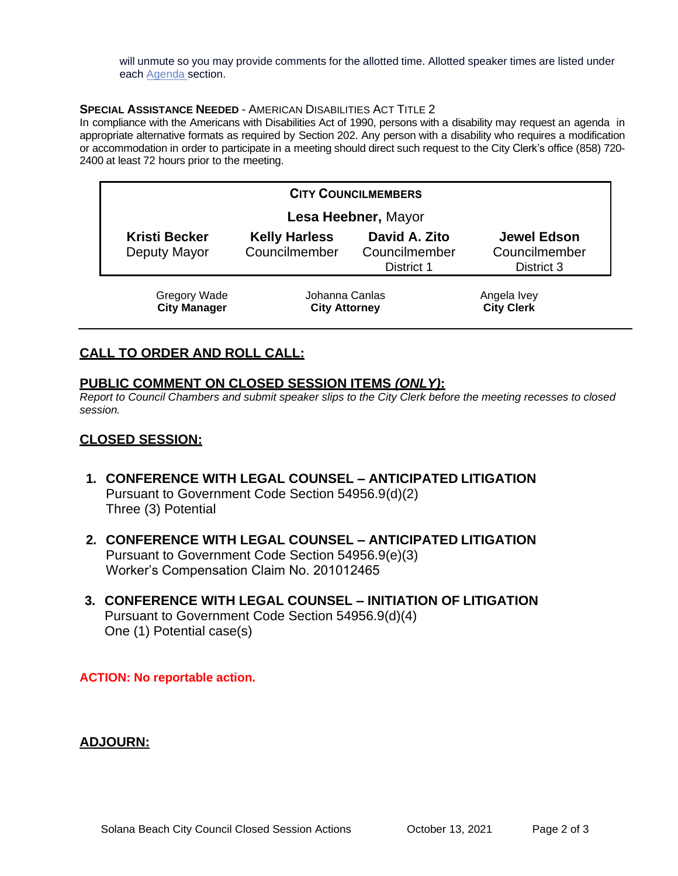will unmute so you may provide comments for the allotted time. Allotted speaker times are listed under each [Agenda s](https://urldefense.proofpoint.com/v2/url?u=https-3A__www.ci.solana-2Dbeach.ca.us_index.asp-3FSEC-3DF0F1200D-2D21C6-2D4A88-2D8AE1-2D0BC07C1A81A7-26Type-3DB-5FBASIC&d=DwMFaQ&c=euGZstcaTDllvimEN8b7jXrwqOf-v5A_CdpgnVfiiMM&r=1XAsCUuqwK_tji2t0s1uIQ&m=C7WzXfOw2_nkEFMJClT55zZsF4tmIf_7KTn0o1WpYqI&s=3DcsWExM2_nx_xpvFtXslUjphiXd0MDCCF18y_Qy5yU&e=)ection.

#### **SPECIAL ASSISTANCE NEEDED** - AMERICAN DISABILITIES ACT TITLE 2

In compliance with the Americans with Disabilities Act of 1990, persons with a disability may request an agenda in appropriate alternative formats as required by Section 202. Any person with a disability who requires a modification or accommodation in order to participate in a meeting should direct such request to the City Clerk's office (858) 720- 2400 at least 72 hours prior to the meeting.

| <b>CITY COUNCILMEMBERS</b>                 |                                        |                                              |                                                   |
|--------------------------------------------|----------------------------------------|----------------------------------------------|---------------------------------------------------|
| Lesa Heebner, Mayor                        |                                        |                                              |                                                   |
| <b>Kristi Becker</b><br>Deputy Mayor       | <b>Kelly Harless</b><br>Councilmember  | David A. Zito<br>Councilmember<br>District 1 | <b>Jewel Edson</b><br>Councilmember<br>District 3 |
| <b>Gregory Wade</b><br><b>City Manager</b> | Johanna Canlas<br><b>City Attorney</b> |                                              | Angela Ivey<br><b>City Clerk</b>                  |

## **CALL TO ORDER AND ROLL CALL:**

### **PUBLIC COMMENT ON CLOSED SESSION ITEMS** *(ONLY)***:**

*Report to Council Chambers and submit speaker slips to the City Clerk before the meeting recesses to closed session.*

### **CLOSED SESSION:**

- **1. CONFERENCE WITH LEGAL COUNSEL – ANTICIPATED LITIGATION** Pursuant to Government Code Section 54956.9(d)(2) Three (3) Potential
- **2. CONFERENCE WITH LEGAL COUNSEL – ANTICIPATED LITIGATION** Pursuant to Government Code Section 54956.9(e)(3) Worker's Compensation Claim No. 201012465
- **3. CONFERENCE WITH LEGAL COUNSEL – INITIATION OF LITIGATION** Pursuant to Government Code Section 54956.9(d)(4) One (1) Potential case(s)

**ACTION: No reportable action.**

## **ADJOURN:**